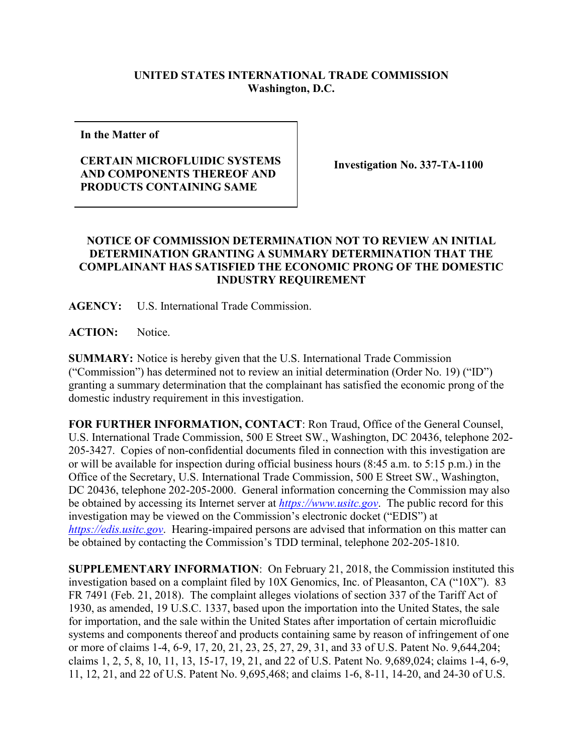## **UNITED STATES INTERNATIONAL TRADE COMMISSION Washington, D.C.**

**In the Matter of**

## **CERTAIN MICROFLUIDIC SYSTEMS AND COMPONENTS THEREOF AND PRODUCTS CONTAINING SAME**

**Investigation No. 337-TA-1100**

## **NOTICE OF COMMISSION DETERMINATION NOT TO REVIEW AN INITIAL DETERMINATION GRANTING A SUMMARY DETERMINATION THAT THE COMPLAINANT HAS SATISFIED THE ECONOMIC PRONG OF THE DOMESTIC INDUSTRY REQUIREMENT**

**AGENCY:** U.S. International Trade Commission.

**ACTION:** Notice.

**SUMMARY:** Notice is hereby given that the U.S. International Trade Commission ("Commission") has determined not to review an initial determination (Order No. 19) ("ID") granting a summary determination that the complainant has satisfied the economic prong of the domestic industry requirement in this investigation.

**FOR FURTHER INFORMATION, CONTACT**: Ron Traud, Office of the General Counsel, U.S. International Trade Commission, 500 E Street SW., Washington, DC 20436, telephone 202- 205-3427. Copies of non-confidential documents filed in connection with this investigation are or will be available for inspection during official business hours (8:45 a.m. to 5:15 p.m.) in the Office of the Secretary, U.S. International Trade Commission, 500 E Street SW., Washington, DC 20436, telephone 202-205-2000. General information concerning the Commission may also be obtained by accessing its Internet server at *[https://www.usitc.gov](https://www.usitc.gov/)*. The public record for this investigation may be viewed on the Commission's electronic docket ("EDIS") at *[https://edis.usitc.gov](https://edis.usitc.gov/)*. Hearing-impaired persons are advised that information on this matter can be obtained by contacting the Commission's TDD terminal, telephone 202-205-1810.

**SUPPLEMENTARY INFORMATION**: On February 21, 2018, the Commission instituted this investigation based on a complaint filed by 10X Genomics, Inc. of Pleasanton, CA ("10X"). 83 FR 7491 (Feb. 21, 2018). The complaint alleges violations of section 337 of the Tariff Act of 1930, as amended, 19 U.S.C. 1337, based upon the importation into the United States, the sale for importation, and the sale within the United States after importation of certain microfluidic systems and components thereof and products containing same by reason of infringement of one or more of claims 1-4, 6-9, 17, 20, 21, 23, 25, 27, 29, 31, and 33 of U.S. Patent No. 9,644,204; claims 1, 2, 5, 8, 10, 11, 13, 15-17, 19, 21, and 22 of U.S. Patent No. 9,689,024; claims 1-4, 6-9, 11, 12, 21, and 22 of U.S. Patent No. 9,695,468; and claims 1-6, 8-11, 14-20, and 24-30 of U.S.